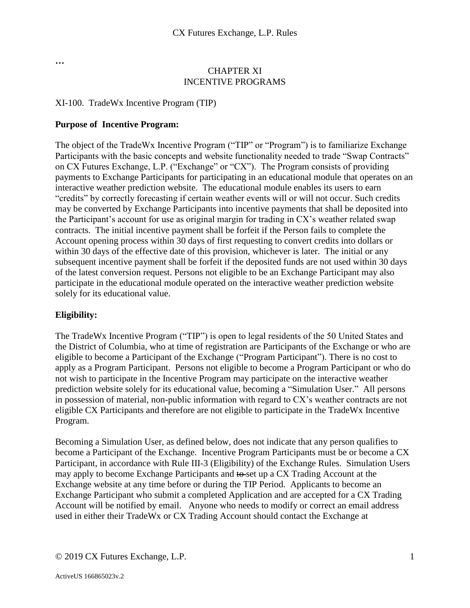**…**

#### CHAPTER XI INCENTIVE PROGRAMS

#### XI-100. TradeWx Incentive Program (TIP)

#### **Purpose of Incentive Program:**

The object of the TradeWx Incentive Program ("TIP" or "Program") is to familiarize Exchange Participants with the basic concepts and website functionality needed to trade "Swap Contracts" on CX Futures Exchange, L.P. ("Exchange" or "CX"). The Program consists of providing payments to Exchange Participants for participating in an educational module that operates on an interactive weather prediction website. The educational module enables its users to earn "credits" by correctly forecasting if certain weather events will or will not occur. Such credits may be converted by Exchange Participants into incentive payments that shall be deposited into the Participant's account for use as original margin for trading in CX's weather related swap contracts. The initial incentive payment shall be forfeit if the Person fails to complete the Account opening process within 30 days of first requesting to convert credits into dollars or within 30 days of the effective date of this provision, whichever is later. The initial or any subsequent incentive payment shall be forfeit if the deposited funds are not used within 30 days of the latest conversion request. Persons not eligible to be an Exchange Participant may also participate in the educational module operated on the interactive weather prediction website solely for its educational value.

## **Eligibility:**

The TradeWx Incentive Program ("TIP") is open to legal residents of the 50 United States and the District of Columbia, who at time of registration are Participants of the Exchange or who are eligible to become a Participant of the Exchange ("Program Participant"). There is no cost to apply as a Program Participant. Persons not eligible to become a Program Participant or who do not wish to participate in the Incentive Program may participate on the interactive weather prediction website solely for its educational value, becoming a "Simulation User." All persons in possession of material, non-public information with regard to CX's weather contracts are not eligible CX Participants and therefore are not eligible to participate in the TradeWx Incentive Program.

Becoming a Simulation User, as defined below, does not indicate that any person qualifies to become a Participant of the Exchange. Incentive Program Participants must be or become a CX Participant, in accordance with Rule III-3 (Eligibility) of the Exchange Rules. Simulation Users may apply to become Exchange Participants and to set up a CX Trading Account at the Exchange website at any time before or during the TIP Period. Applicants to become an Exchange Participant who submit a completed Application and are accepted for a CX Trading Account will be notified by email. Anyone who needs to modify or correct an email address used in either their TradeWx or CX Trading Account should contact the Exchange at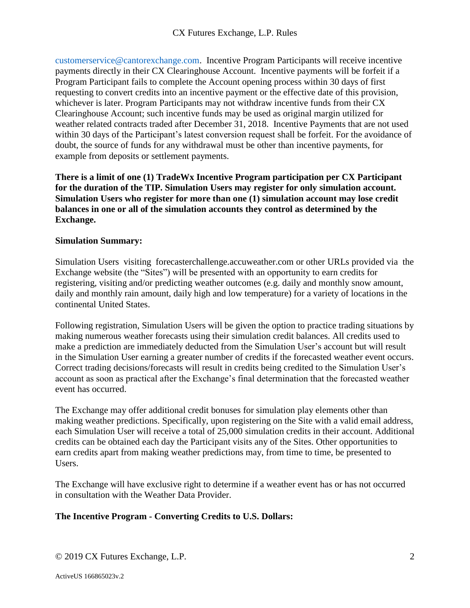[customerservice@cantorexchange.com.](mailto:customerservice@cantorexchange.com) Incentive Program Participants will receive incentive payments directly in their CX Clearinghouse Account. Incentive payments will be forfeit if a Program Participant fails to complete the Account opening process within 30 days of first requesting to convert credits into an incentive payment or the effective date of this provision, whichever is later. Program Participants may not withdraw incentive funds from their CX Clearinghouse Account; such incentive funds may be used as original margin utilized for weather related contracts traded after December 31, 2018. Incentive Payments that are not used within 30 days of the Participant's latest conversion request shall be forfeit. For the avoidance of doubt, the source of funds for any withdrawal must be other than incentive payments, for example from deposits or settlement payments.

**There is a limit of one (1) TradeWx Incentive Program participation per CX Participant for the duration of the TIP. Simulation Users may register for only simulation account. Simulation Users who register for more than one (1) simulation account may lose credit balances in one or all of the simulation accounts they control as determined by the Exchange.**

## **Simulation Summary:**

Simulation Users visiting forecasterchallenge.accuweather.com or other URLs provided via the Exchange website (the "Sites") will be presented with an opportunity to earn credits for registering, visiting and/or predicting weather outcomes (e.g. daily and monthly snow amount, daily and monthly rain amount, daily high and low temperature) for a variety of locations in the continental United States.

Following registration, Simulation Users will be given the option to practice trading situations by making numerous weather forecasts using their simulation credit balances. All credits used to make a prediction are immediately deducted from the Simulation User's account but will result in the Simulation User earning a greater number of credits if the forecasted weather event occurs. Correct trading decisions/forecasts will result in credits being credited to the Simulation User's account as soon as practical after the Exchange's final determination that the forecasted weather event has occurred.

The Exchange may offer additional credit bonuses for simulation play elements other than making weather predictions. Specifically, upon registering on the Site with a valid email address, each Simulation User will receive a total of 25,000 simulation credits in their account. Additional credits can be obtained each day the Participant visits any of the Sites. Other opportunities to earn credits apart from making weather predictions may, from time to time, be presented to Users.

The Exchange will have exclusive right to determine if a weather event has or has not occurred in consultation with the Weather Data Provider.

## **The Incentive Program - Converting Credits to U.S. Dollars:**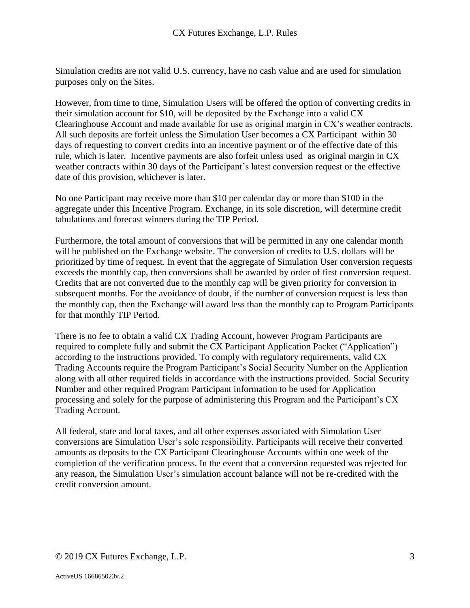Simulation credits are not valid U.S. currency, have no cash value and are used for simulation purposes only on the Sites.

However, from time to time, Simulation Users will be offered the option of converting credits in their simulation account for \$10, will be deposited by the Exchange into a valid CX Clearinghouse Account and made available for use as original margin in CX's weather contracts. All such deposits are forfeit unless the Simulation User becomes a CX Participant within 30 days of requesting to convert credits into an incentive payment or of the effective date of this rule, which is later. Incentive payments are also forfeit unless used as original margin in CX weather contracts within 30 days of the Participant's latest conversion request or the effective date of this provision, whichever is later.

No one Participant may receive more than \$10 per calendar day or more than \$100 in the aggregate under this Incentive Program. Exchange, in its sole discretion, will determine credit tabulations and forecast winners during the TIP Period.

Furthermore, the total amount of conversions that will be permitted in any one calendar month will be published on the Exchange website. The conversion of credits to U.S. dollars will be prioritized by time of request. In event that the aggregate of Simulation User conversion requests exceeds the monthly cap, then conversions shall be awarded by order of first conversion request. Credits that are not converted due to the monthly cap will be given priority for conversion in subsequent months. For the avoidance of doubt, if the number of conversion request is less than the monthly cap, then the Exchange will award less than the monthly cap to Program Participants for that monthly TIP Period.

There is no fee to obtain a valid CX Trading Account, however Program Participants are required to complete fully and submit the CX Participant Application Packet ("Application") according to the instructions provided. To comply with regulatory requirements, valid CX Trading Accounts require the Program Participant's Social Security Number on the Application along with all other required fields in accordance with the instructions provided. Social Security Number and other required Program Participant information to be used for Application processing and solely for the purpose of administering this Program and the Participant's CX Trading Account.

All federal, state and local taxes, and all other expenses associated with Simulation User conversions are Simulation User's sole responsibility. Participants will receive their converted amounts as deposits to the CX Participant Clearinghouse Accounts within one week of the completion of the verification process. In the event that a conversion requested was rejected for any reason, the Simulation User's simulation account balance will not be re-credited with the credit conversion amount.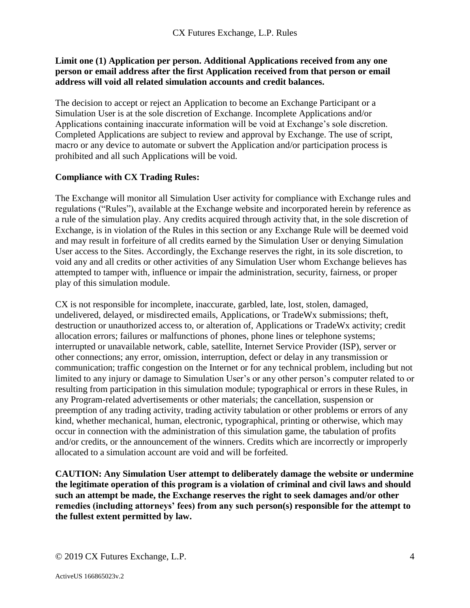## **Limit one (1) Application per person. Additional Applications received from any one person or email address after the first Application received from that person or email address will void all related simulation accounts and credit balances.**

The decision to accept or reject an Application to become an Exchange Participant or a Simulation User is at the sole discretion of Exchange. Incomplete Applications and/or Applications containing inaccurate information will be void at Exchange's sole discretion. Completed Applications are subject to review and approval by Exchange. The use of script, macro or any device to automate or subvert the Application and/or participation process is prohibited and all such Applications will be void.

## **Compliance with CX Trading Rules:**

The Exchange will monitor all Simulation User activity for compliance with Exchange rules and regulations ("Rules"), available at the Exchange website and incorporated herein by reference as a rule of the simulation play. Any credits acquired through activity that, in the sole discretion of Exchange, is in violation of the Rules in this section or any Exchange Rule will be deemed void and may result in forfeiture of all credits earned by the Simulation User or denying Simulation User access to the Sites. Accordingly, the Exchange reserves the right, in its sole discretion, to void any and all credits or other activities of any Simulation User whom Exchange believes has attempted to tamper with, influence or impair the administration, security, fairness, or proper play of this simulation module.

CX is not responsible for incomplete, inaccurate, garbled, late, lost, stolen, damaged, undelivered, delayed, or misdirected emails, Applications, or TradeWx submissions; theft, destruction or unauthorized access to, or alteration of, Applications or TradeWx activity; credit allocation errors; failures or malfunctions of phones, phone lines or telephone systems; interrupted or unavailable network, cable, satellite, Internet Service Provider (ISP), server or other connections; any error, omission, interruption, defect or delay in any transmission or communication; traffic congestion on the Internet or for any technical problem, including but not limited to any injury or damage to Simulation User's or any other person's computer related to or resulting from participation in this simulation module; typographical or errors in these Rules, in any Program-related advertisements or other materials; the cancellation, suspension or preemption of any trading activity, trading activity tabulation or other problems or errors of any kind, whether mechanical, human, electronic, typographical, printing or otherwise, which may occur in connection with the administration of this simulation game, the tabulation of profits and/or credits, or the announcement of the winners. Credits which are incorrectly or improperly allocated to a simulation account are void and will be forfeited.

**CAUTION: Any Simulation User attempt to deliberately damage the website or undermine the legitimate operation of this program is a violation of criminal and civil laws and should such an attempt be made, the Exchange reserves the right to seek damages and/or other remedies (including attorneys' fees) from any such person(s) responsible for the attempt to the fullest extent permitted by law.**